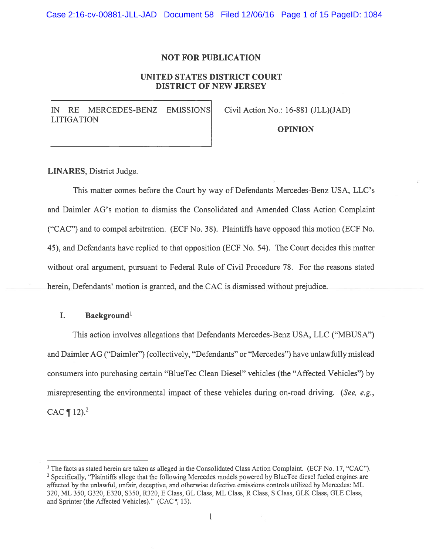Case 2:16-cv-00881-JLL-JAD Document 58 Filed 12/06/16 Page 1 of 15 PageID: 1084

### NOT FOR PUBLICATION

## UNITED STATES DISTRICT COURT DISTRICT OF NEW JERSEY

IN RE MERCEDES-BENZ EMISSIONS Civil Action No.: 16-881 (JLL)(JAD) LITIGATION

OPINION

LINARES, District Judge.

This matter comes before the Court by way of Defendants Mercedes-Benz USA, LLC's and Daimler AG's motion to dismiss the Consolidated and Amended Class Action Complaint ("CAC") and to compel arbitration. (ECF No. 3\$). Plaintiffs have opposed this motion (ECF No. 45), and Defendants have replied to that opposition (ECF No. 54). The Court decides this matter without oral argument, pursuant to Federal Rule of Civil Procedure 78. For the reasons stated herein, Defendants' motion is granted, and the CAC is dismissed without prejudice.

### I. Background<sup>1</sup>

This action involves allegations that Defendants Mercedes-Benz USA, LLC ("MBUSA") and Daimler AG ("Daimler") (collectively, "Defendants" or "Mercedes") have unlawfully mislead consumers into purchasing certain "BlueTec Clean Diesel" vehicles (the "Affected Vehicles") by misrepresenting the environmental impact of these vehicles during on-road driving. (See, e.g., CAC  $\P$  12).<sup>2</sup>

<sup>&</sup>lt;sup>1</sup> The facts as stated herein are taken as alleged in the Consolidated Class Action Complaint. (ECF No. 17, "CAC"). <sup>2</sup> Specifically, "Plaintiffs allege that the following Mercedes models powered by BlueTec diesel fueled engines are affected by the unlawful, unfair, deceptive, and otherwise defective emissions controls utilized by Mercedes: ML 320, ML 350, G320, E320, S350, R320, E Class, GL Class, ML Class, R Class, S Class, GLK Class, GLE Class, and Sprinter (the Affected Vehicles)." (CAC ¶ 13).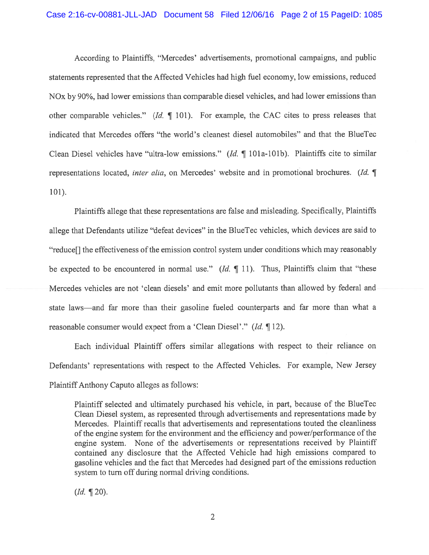#### Case 2:16-cv-00881-JLL-JAD Document 58 Filed 12/06/16 Page 2 of 15 PageID: 1085

According to Plaintiffs, "Mercedes' advertisements, promotional campaigns, and public statements represented that the Affected Vehicles had high fuel economy, low emissions, reduced NOx by 90%, had lower emissions than comparable diesel vehicles, and had lower emissions than other comparable vehicles." (Id. ¶ 101). for example, the CAC cites to press releases that indicated that Mercedes offers "the world's cleanest diesel automobiles" and that the BlueTec Clean Diesel vehicles have "ultra-low emissions." (Id. ¶ 101a-lOlb). Plaintiffs cite to similar representations located, *inter alia*, on Mercedes' website and in promotional brochures. (Id.  $\P$ 101).

Plaintiffs allege that these representations are false and misleading. Specifically, Plaintiffs allege that Defendants utilize "defeat devices" in the BlueTec vehicles, which devices are said to "reduce[] the effectiveness of the emission control system under conditions which may reasonably be expected to be encountered in normal use."  $(Id. \P 11)$ . Thus, Plaintiffs claim that "these Mercedes vehicles are not 'clean diesels' and emit more pollutants than allowed by federal and state laws—and far more than their gasoline fueled counterparts and far more than what <sup>a</sup> reasonable consumer would expec<sup>t</sup> from <sup>a</sup> 'Clean Diesel'." (Id. ¶ 12).

Each individual Plaintiff offers similar allegations with respec<sup>t</sup> to their reliance on Defendants' representations with respec<sup>t</sup> to the Affected Vehicles. For example, New Jersey Plaintiff Anthony Caputo alleges as follows:

Plaintiff selected and ultimately purchased his vehicle, in part, because of the BlueTec Clean Diesel system, as represented through advertisements and representations made by Mercedes. Plaintiff recalls that advertisements and representations touted the cleanliness of the engine system for the environment and the efficiency and power/performance of the engine system. None of the advertisements or representations received by Plaintiff contained any disclosure that the Affected Vehicle had high emissions compared to gasoline vehicles and the fact that Mercedes had designed par<sup>t</sup> of the emissions reduction system to turn off during normal driving conditions.

 $(Id. \P 20).$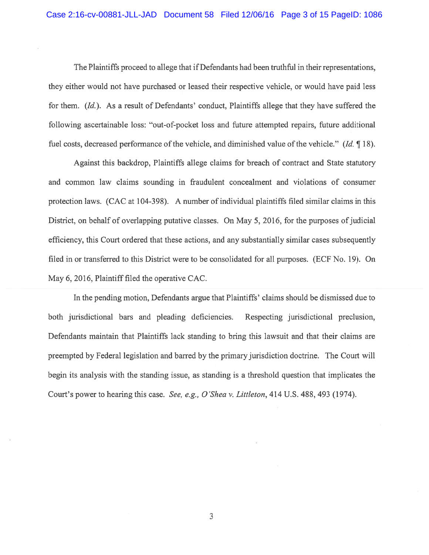The Plaintiffs proceed to allege that if Defendants had been truthful in their representations, they either would not have purchased or leased their respective vehicle, or would have paid less for them. (Id.). As a result of Defendants' conduct, Plaintiffs allege that they have suffered the following ascertainable loss: "out-of-pocket loss and future attempted repairs, future additional fuel costs, decreased performance of the vehicle, and diminished value of the vehicle." (Id.  $\P$  18).

Against this backdrop, Plaintiffs allege claims for breach of contract and State statutory and common law claims sounding in fraudulent concealment and violations of consumer protection laws. (CAC at 104-398). A number of individual plaintiffs filed similar claims in this District, on behalf of overlapping putative classes. On May 5, 2016, for the purposes of judicial efficiency, this Court ordered that these actions, and any substantially similar cases subsequently filed in or transferred to this District were to be consolidated for all purposes. (ECF No. 19). On May 6, 2016, Plaintiff filed the operative CAC.

In the pending motion, Defendants argue that Plaintiffs' claims should be dismissed due to both jurisdictional bars and pleading deficiencies. Respecting jurisdictional preclusion, Defendants maintain that Plaintiffs lack standing to bring this lawsuit and that their claims are preempted by Federal legislation and barred by the primary jurisdiction doctrine. The Court will begin its analysis with the standing issue, as standing is <sup>a</sup> threshold question that implicates the Court's power to hearing this case. See, e.g., O'Shea v. Littleton, 414 U.S. 488, 493 (1974).

3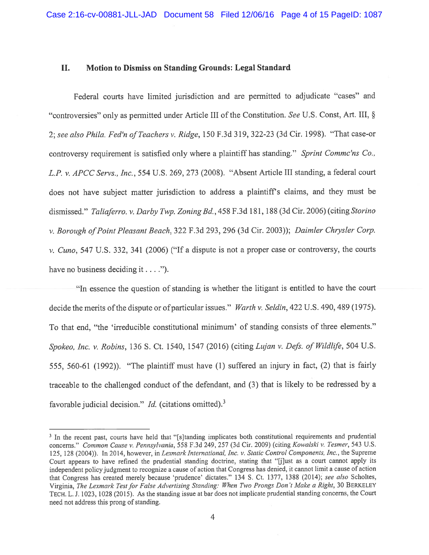### II. Motion to Dismiss on Standing Grounds: Legal Standard

Federal courts have limited jurisdiction and are permitted to adjudicate "cases" and "controversies" only as permitted under Article III of the Constitution. See U.S. Const, Art. III, § 2; see also Phila. Fed'n of Teachers v. Ridge, 150 F.3d 319, 322-23 (3d Cir. 1998). "That case-or controversy requirement is satisfied only where a plaintiff has standing." Sprint Commc'ns Co., L.P. v. APCC Servs., Inc., 554 U.S. 269, 273 (2008). "Absent Article III standing, a federal court does not have subject matter jurisdiction to address <sup>a</sup> <sup>p</sup>laintiffs claims, and they must be dismissed." Taliaferro. v. Darby Twp. Zoning Bd., 458 F.3d 181, 188 (3d Cir. 2006) (citing Storino v. Borough of Point Pleasant Beach, 322 F.3d 293, 296 (3d Cir. 2003)); Daimler Chrysler Corp.  $v.$  Cuno, 547 U.S. 332, 341 (2006) ("If a dispute is not a proper case or controversy, the courts have no business deciding it....").

"In essence the question of standing is whether the litigant is entitled to have the court decide the merits of the dispute or of particular issues." Warth v. Seldin, 422 U.S. 490, 489 (1975). To that end, "the 'irreducible constitutional minimum' of standing consists of three elements." Spokeo, Inc. v. Robins, 136 S. Ct. 1540, 1547 (2016) (citing Lujan v. Defs. of Wildlife, 504 U.S. 555, 560-61 (1992)). "The <sup>p</sup>laintiff must have (1) suffered an injury in fact, (2) that is fairly traceable to the challenged conduct of the defendant, and (3) that is likely to be redressed by <sup>a</sup> favorable judicial decision." *Id.* (citations omitted).<sup>3</sup>

<sup>&</sup>lt;sup>3</sup> In the recent past, courts have held that "[s]tanding implicates both constitutional requirements and prudential concerns." Common Cause v. Pennsylvania, 558 F.3d 249, 257 (3d Cir. 2009) (citing Kowalski v. Tesmer, 543 U.S. 125, 128 (2004)). In 2014, however, in Lexmark International, Inc. v. Static Control Components, Inc., the Supreme Court appears to have refined the prudential standing doctrine, stating that "[jJust as <sup>a</sup> court cannot apply its independent policy judgment to recognize <sup>a</sup> cause of action that Congress has denied, it cannot limit <sup>a</sup> cause of action that Congress has created merely because 'prudence' dictates." <sup>134</sup> S. Ct. 1377, <sup>1388</sup> (2014); see also Scholtes, Virginia, The Lexmark Test for False Advertising Standing: When Two Prongs Don't Make a Right, 30 BERKELEY TECH. L. 1. 1023, <sup>1028</sup> (2015). As the standing issue at bar does not implicate prudential standing concerns, the Court need not address this prong of standing.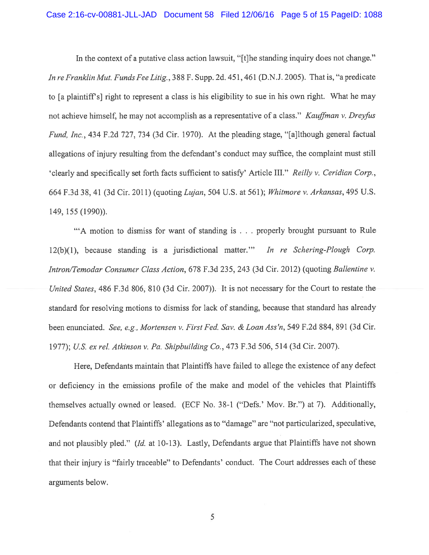#### Case 2:16-cv-00881-JLL-JAD Document 58 Filed 12/06/16 Page 5 of 15 PageID: 1088

In the context of a putative class action lawsuit, "[t]he standing inquiry does not change." In re Franklin Mut. Funds Fee Litig., 388 F. Supp. 2d. 451, 461 (D.N.J. 2005). That is, "a predicate to [a <sup>p</sup>laintiffs] right to represen<sup>t</sup> <sup>a</sup> class is his eligibility to sue in his own right. What he may not achieve himself, he may not accomplish as a representative of a class." Kauffman v. Dreyfus Fund, Inc., 434 F.2d 727, 734 (3d Cir. 1970). At the pleading stage, "[a]lthough general factual allegations of injury resulting from the defendant's conduct may suffice, the complaint must still 'clearly and specifically set forth facts sufficient to satisfy' Article III." Reilly v. Ceridian Corp., 664 F.3d 38,41 (3d Cir. 2011) (quoting Lujan, 504 U.S. at 561); Whitmore v. Arkansas, 495 U.S. 149, 155 (1990)).

"A motion to dismiss for want of standing is . . . properly brought pursuan<sup>t</sup> to Rule 12(b)(1), because standing is <sup>a</sup> jurisdictional matter." In re Schering-Plough Corp. Intron/Temodar Consumer Class Action, 678 F.3d 235, 243 (3d Cir. 2012) (quoting Ballentine v. United States, 486 F.3d 806, 810 (3d Cir. 2007)). It is not necessary for the Court to restate the standard for resolving motions to dismiss for lack of standing, because that standard has already been enunciated. See, e.g., Mortensen v. First Fed. Sav. & Loan Ass'n, 549 F.2d 884, 891 (3d Cir. 1977); U.S. ex rel. Atkinson v. Pa. Shipbuilding Co., 473 F.3d 506, 514 (3d Cir. 2007).

Here, Defendants maintain that Plaintiffs have failed to allege the existence of any defect or deficiency in the emissions profile of the make and model of the vehicles that Plaintiffs themselves actually owned or leased. (ECF No. 38-1 ("Defs.' Mov. Br.") at 7). Additionally, Defendants contend that Plaintiffs' allegations as to "damage" are "not particularized, speculative, and not plausibly pled." (Id. at 10-13). Lastly, Defendants argue that Plaintiffs have not shown that their injury is "fairly traceable" to Defendants' conduct. The Court addresses each of these arguments below.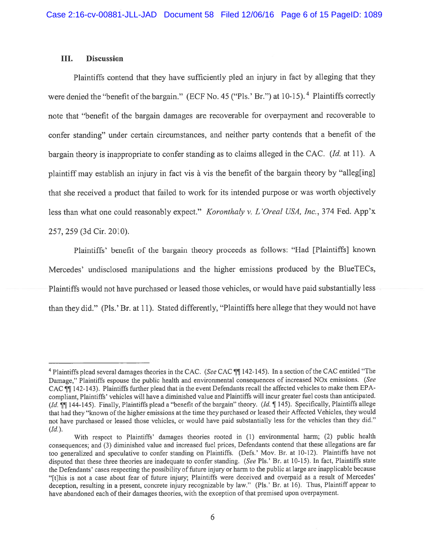## III. Discussion

Plaintiffs contend that they have sufficiently <sup>p</sup>led an injury in fact by alleging that they were denied the "benefit of the bargain." (ECF No. 45 ("Pls.' Br.") at 10-15).<sup>4</sup> Plaintiffs correctly note that "benefit of the bargain damages are recoverable for overpaymen<sup>t</sup> and recoverable to confer standing" under certain circumstances, and neither party contends that <sup>a</sup> benefit of the bargain theory is inappropriate to confer standing as to claims alleged in the CAC. (Id. at 11). A plaintiff may establish an injury in fact vis à vis the benefit of the bargain theory by "alleg[ing] that she received <sup>a</sup> product that failed to work for its intended purpose or was worth objectively less than what one could reasonably expect." Koronthaly v. L'Oreal USA, Inc., 374 Fed. App'x 257, 259 (3d Cir. 2010).

Plaintiffs' benefit of the bargain theory proceeds as follows: "Had [Plaintiffs] known Mercedes' undisclosed manipulations and the higher emissions produced by the B1ueTECs, Plaintiffs would not have purchased or leased those vehicles, or would have paid substantially less than they did." (Pls.' Br. at 11). Stated differently, "Plaintiffs here allege that they would not have

<sup>&</sup>lt;sup>4</sup> Plaintiffs plead several damages theories in the CAC. (See CAC  $\P\P$  142-145). In a section of the CAC entitled "The Damage," Plaintiffs espouse the public health and environmental consequences of increased NOx emissions. (See CAC JJ 142-143). Plaintiffs further plead that in the event Defendants recall the affected vehicles to make them EPAcompliant, Plaintiffs' vehicles will have <sup>a</sup> diminished value and Plaintiffs will incur greater fuel costs than anticipated. (Id.  $\P$ ] 144-145). Finally, Plaintiffs plead a "benefit of the bargain" theory. (Id.  $\P$  145). Specifically, Plaintiffs allege that had they "known of the higher emissions at the time they purchased or leased their Affected Vehicles, they would not have purchased or leased those vehicles, or would have paid substantially less for the vehicles than they did."  $(Id.).$ 

With respec<sup>t</sup> to Plaintiffs' damages theories rooted in (1) environmental harm; (2) public health consequences: and (3) diminished value and increased fuel prices, Defendants contend that these allegations are far too generalized and speculative to confer standing on Plaintiffs. (Defs.' Mov. Br. at 10-12). Plaintiffs have not disputed that these three theories are inadequate to confer standing. (See Pls.' Br. at 10-15). In fact, Plaintiffs state the Defendants' cases respecting the possibility of future injury or harm to the public at large are inapplicable because "[t]his is not <sup>a</sup> case about fear of future injury; Plaintiffs were deceived and overpaid as <sup>a</sup> result of Mercedes' deception, resulting in a present, concrete injury recognizable by law." (Pls.' Br. at 16). Thus, Plaintiff appear to have abandoned each of their damages theories, with the exception of that premised upon overpayment.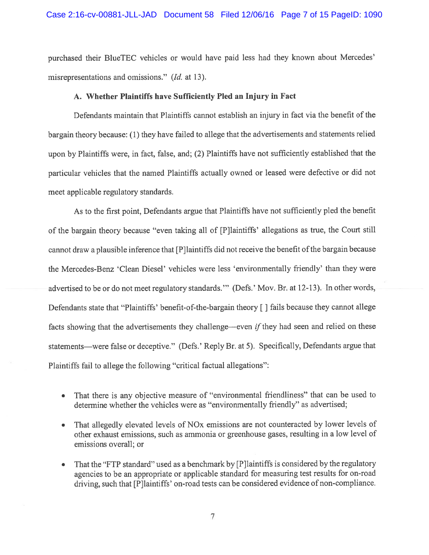purchased their B1ueTEC vehicles or would have paid less had they known about Mercedes' misrepresentations and omissions." (Id. at 13).

#### A. Whether Plaintiffs have Sufficiently Pled an Injury in Fact

Defendants maintain that Plaintiffs cannot establish an injury in fact via the benefit of the bargain theory because: (1) they have failed to allege that the advertisements and statements relied upon by Plaintiffs were, in fact, false, and; (2) Plaintiffs have not sufficiently established that the particular vehicles that the named Plaintiffs actually owned or leased were defective or did not meet applicable regulatory standards.

As to the first point, Defendants argue that Plaintiffs have not sufficiently <sup>p</sup>led the benefit of the bargain theory because "even taking all of [P]laintiffs' allegations as true, the Court still cannot draw a plausible inference that [P]laintiffs did not receive the benefit of the bargain because the Mercedes-Benz 'Clean Diesel' vehicles were less 'environmentally friendly' than they were advertised to be or do not meet regulatory standards." (Defs.' Mov. Br. at 12-13). In other words, Defendants state that "Plaintiffs' benefit-of-the-bargain theory [] fails because they cannot allege facts showing that the advertisements they challenge—even  $if$  they had seen and relied on these statements—were false or deceptive." (Defs.' Reply Br. at 5). Specifically, Defendants argue that Plaintiffs fail to allege the following "critical factual allegations":

- • That there is any objective measure of "environmental friendliness" that can be used to determine whether the vehicles were as "environmentally friendly" as advertised;
- • That allegedly elevated levels of NOx emissions are not counteracted by lower levels of other exhaust emissions, such as ammonia or greenhouse gases, resulting in <sup>a</sup> low level of emissions overall; or
- That the "FTP standard" used as <sup>a</sup> benchmark by [P]laintiffs is considered by the regulatory agencies to be an appropriate or applicable standard for measuring test results for on-road driving, such that [P]laintiffs' on-road tests can be considered evidence of non-compliance.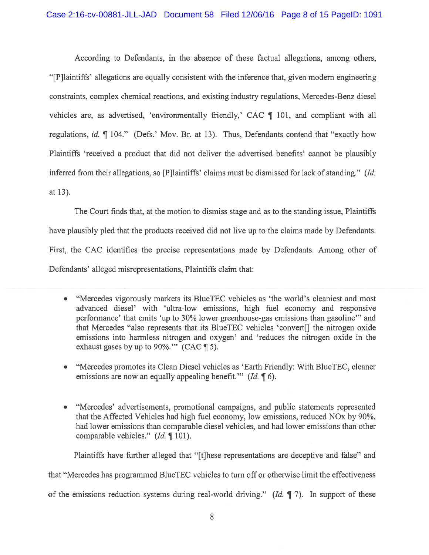# Case 2:16-cv-00881-JLL-JAD Document 58 Filed 12/06/16 Page 8 of 15 PageID: 1091

According to Defendants, in the absence of these factual allegations, among others, "[PJlaintiffs' allegations are equally consistent with the inference that, given modem engineering constraints, complex chemical reactions, and existing industry regulations, Mercedes-Benz diesel vehicles are, as advertised, 'environmentally friendly,' CAC ¶ 101, and compliant with all regulations, id.  $\P$  104." (Defs.' Mov. Br. at 13). Thus, Defendants contend that "exactly how Plaintiffs 'received <sup>a</sup> product that did not deliver the advertised benefits' cannot be plausibly inferred from their allegations, so [P]laintiffs' claims must be dismissed for lack of standing." (Id. at 13).

The Court finds that, at the motion to dismiss stage and as to the standing issue, Plaintiffs have plausibly pled that the products received did not live up to the claims made by Defendants. First, the CAC identifies the precise representations made by Defendants. Among other of Defendants' alleged misrepresentations, Plaintiffs claim that:

- "Mercedes vigorously markets its B1ueTEC vehicles as 'the world's cleaniest and most advanced diesel' with 'ultra-low emissions, high fuel economy and responsive performance' that emits 'up to 30% lower greenhouse-gas emissions than gasoline" and that Mercedes "also represents that its B1ueTEC vehicles 'convert[] the nitrogen oxide emissions into harmless nitrogen and oxygen' and 'reduces the nitrogen oxide in the exhaust gases by up to 90%." (CAC  $\P$  5).
- "Mercedes promotes its Clean Diesel vehicles as 'Earth Friendly: With B1ueTEC, cleaner emissions are now an equally appealing benefit."  $(Id, \P \ 6)$ .
- "Mercedes' advertisements, promotional campaigns, and public statements represented that the Affected Vehicles had high fuel economy, low emissions, reduced NOx by 90%, had lower emissions than comparable diesel vehicles, and had lower emissions than other comparable vehicles." (Id. ¶ 101).

Plaintiffs have further alleged that "[t]hese representations are deceptive and false" and that "Mercedes has programmed B1ueTEC vehicles to turn off or otherwise limit the effectiveness of the emissions reduction systems during real-world driving." (Id.  $\parallel$  7). In support of these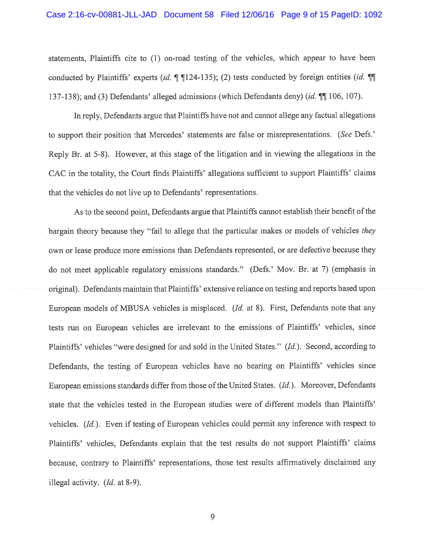#### Case 2:16-cv-00881-JLL-JAD Document 58 Filed 12/06/16 Page 9 of 15 PageID: 1092

statements, Plaintiffs cite to (1) on-road testing of the vehicles, which appear to have been conducted by Plaintiffs' experts (id.  $\parallel \parallel$  124-135); (2) tests conducted by foreign entities (id.  $\parallel$   $\parallel$ 137-138); and (3) Defendants' alleged admissions (which Defendants deny) (id. ¶ 106, 107).

In reply, Defendants argue that Plaintiffs have not and cannot allege any factual allegations to support their position that Mercedes' statements are false or misrepresentations. (See Defs.' Reply Br. at 5-8). However, at this stage of the litigation and in viewing the allegations in the CAC in the totality, the Court finds Plaintiffs' allegations sufficient to suppor<sup>t</sup> Plaintiffs' claims that the vehicles do not live up to Defendants' representations.

As to the second point, Defendants argue that Plaintiffs cannot establish their benefit of the bargain theory because they "fail to allege that the particular makes or models of vehicles they own or lease produce more emissions than Defendants represented, or are defective because they do not meet applicable regulatory emissions standards." (Defs.' Mov. Br. at 7) (emphasis in original). Defendants maintain that Plaintiffs' extensive reliance on testing and reports based upon European models of MBUSA vehicles is misplaced. (Id. at 8). First, Defendants note that any tests run on European vehicles are irrelevant to the emissions of Plaintiffs' vehicles, since Plaintiffs' vehicles "were designed for and sold in the United States." (Id.). Second, according to Defendants, the testing of European vehicles have no bearing on Plaintiffs' vehicles since European emissions standards differ from those of the United States. (Id.). Moreover, Defendants state that the vehicles tested in the European studies were of different models than Plaintiffs' vehicles. (Id.). Even if testing of European vehicles could permit any inference with respec<sup>t</sup> to Plaintiffs' vehicles, Defendants explain that the test results do not suppor<sup>t</sup> Plaintiffs' claims because, contrary to Plaintiffs' representations, those test results affirmatively disclaimed any illegal activity. (Id. at 8-9).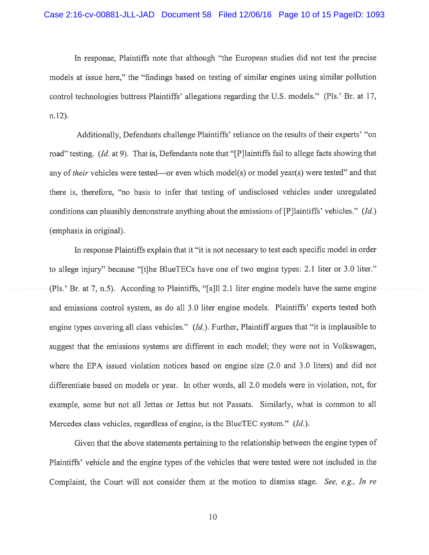In response, Plaintiffs note that although "the European studies did not test the precise models at issue here," the "findings based on testing of similar engines using similar pollution control technologies buttress Plaintiffs' allegations regarding the U.S. models." (Pls.'-Br. at 17, n.12).

Additionally, Defendants challenge Plaintiffs' reliance on the results of their experts' "on road" testing. (Id. at 9). That is, Defendants note that "[P]laintiffs fail to allege facts showing that any of *their* vehicles were tested—or even which model(s) or model year(s) were tested" and that there is, therefore, "no basis to infer that testing of undisclosed vehicles under unregulated conditions can plausibly demonstrate anything about the emissions of [P]laintiffs' vehicles." (Id.) (emphasis in original).

In response Plaintiffs explain that it "it is not necessary to test each specific model in order to allege injury" because "[t]he B1ueTECs have one of two engine types: 2.1 liter or 3.0 liter." (Pis.' Br. at 7, n.5). According to Plaintiffs, "[aJll 2.1 liter engine models have the same engine and emissions control system, as do all 3.0 liter engine models. Plaintiffs' experts tested both engine types covering all class vehicles." (Id.). Further, Plaintiff argues that "it is implausible to sugges<sup>t</sup> that the emissions systems are different in each model; they were not in Volkswagen, where the EPA issued violation notices based on engine size (2.0 and 3.0 liters) and did not differentiate based on models or year. In other words, all 2.0 models were in violation, not, for example, some but not all Jettas or Jettas but not Passats. Similarly, what is common to all Mercedes class vehicles, regardless of engine, is the BlueTEC system." (Id.).

Given that the above statements pertaining to the relationship between the engine types of Plaintiffs' vehicle and the engine types of the vehicles that were tested were not included in the Complaint, the Court will not consider them at the motion to dismiss stage. See, e.g., In re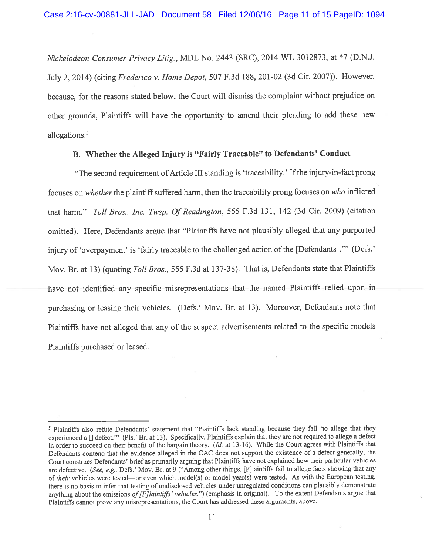Nickelodeon Consumer Privacy Litig., MDL No. <sup>2443</sup> (SRC), <sup>2014</sup> WL 3012873, at \*7 (D.N.J. July 2, 2014) (citing frederico v. Home Depot, <sup>507</sup> F.3d 188, 201-02 (3d Cir. 2007)). However, because, for the reasons stated below, the Court will dismiss the complaint without prejudice on other grounds, Plaintiffs will have the opportunity to amend their <sup>p</sup>leading to add these new allegations.5

# B. Whether the Alleged Injury is "Fairly Traceable" to Defendants' Conduct

"The second requirement of Article III standing is 'traceability.' If the injury-in-fact prong focuses on whether the plaintiff suffered harm, then the traceability prong focuses on who inflicted that harm." Toll Bros., Inc. Twsp. Of Readington, 555 F.3d 131, 142 (3d Cir. 2009) (citation omitted). Here, Defendants argue that "Plaintiffs have not <sup>p</sup>lausibly alleged that any purported injury of 'overpayment' is 'fairly traceable to the challenged action of the [Defendants]."" (Defs.' Mov. Br. at 13) (quoting Toll Bros., 555 F.3d at 137-38). That is, Defendants state that Plaintiffs have not identified any specific misrepresentations that the named Plaintiffs relied upon in purchasing or leasing their vehicles. (Defs.' Mov. Br. at 13). Moreover, Defendants note that Plaintiffs have not alleged that any of the suspec<sup>t</sup> advertisements related to the specific models Plaintiffs purchased or leased.

Plaintiffs also refute Defendants' statement that "Plaintiffs lack standing because they fail 'to allege that they experienced <sup>a</sup> [J defect." (Pis.' Br. at 13). Specifically, Plaintiffs explain that they are not required to allege <sup>a</sup> defect in order to succeed on their benefit of the bargain theory. (Id. at 13-16). While the Court agrees with Plaintiffs that Defendants contend that the evidence alleged in the CAC does not suppor<sup>t</sup> the existence of <sup>a</sup> defect generally, the Court construes Defendants' brief as primarily arguing that Plaintiffs have not explained how their particular vehicles are defective. (See, e.g., Defs.' Mov. Br. at 9 ("Among other things, [P]laintiffs fail to allege facts showing that any of their vehicles were tested—or even which model(s) or model year(s) were tested. As with the European testing, there is no basis to infer that testing of undisclosed vehicles under unregulated conditions can <sup>p</sup>lausibly demonstrate anything about the emissions of [P]laintiffs' vehicles.") (emphasis in original). To the extent Defendants argue that Plaintiffs cannot prove any misrepresentations, the Court has addressed these arguments, above.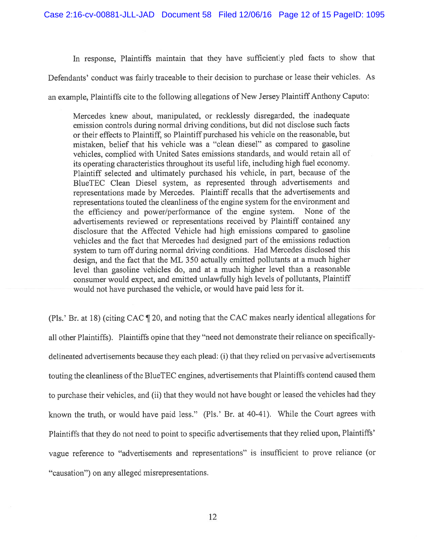In response, Plaintiffs maintain that they have sufficiently <sup>p</sup>led facts to show that

Defendants' conduct was fairly traceable to their decision to purchase or lease their vehicles. As

an example, Plaintiffs cite to the following allegations of New Jersey Plaintiff Anthony Caputo:

Mercedes knew about, manipulated, or recklessly disregarded, the inadequate emission controls during normal driving conditions, but did not disclose such facts or their effects to Plaintiff, so Plaintiff purchased his vehicle on the reasonable, but mistaken, belief that his vehicle was <sup>a</sup> "clean diesel" as compared to gasoline vehicles, complied with United Sates emissions standards, and would retain all of its operating characteristics throughout its useful life, including high fuel economy. Plaintiff selected and ultimately purchased his vehicle, in part, because of the B1ueTEC Clean Diesel system, as represented through advertisements and representations made by Mercedes. Plaintiff recalls that the advertisements and representations touted the cleanliness of the engine system for the environment and the efficiency and power/performance of the engine system. None of the advertisements reviewed or representations received by Plaintiff contained any disclosure that the Affected Vehicle had high emissions compared to gasoline vehicles and the fact that Mercedes had designed par<sup>t</sup> of the emissions reduction system to turn off during normal driving conditions. Had Mercedes disclosed this design, and the fact that the ML <sup>350</sup> actually emitted pollutants at <sup>a</sup> much higher level than gasoline vehicles do, and at <sup>a</sup> much higher level than <sup>a</sup> reasonable consumer would expect, and emitted unlawfully high levels of pollutants, Plaintiff would not have purchased the vehicle, or would have paid less for it.

(Pls.' Br. at 18) (citing CAC ¶ 20, and noting that the CAC makes nearly identical allegations for all other Plaintiffs). Plaintiffs opine that they "need not demonstrate their reliance on specificallydelineated advertisements because they each <sup>p</sup>lead: (i) that they relied on pervasive advertisements touting the cleanliness of the BlueTEC engines, advertisements that Plaintiffs contend caused them to purchase their vehicles, and (ii) that they would not have bought or leased the vehicles had they known the truth, or would have paid less." (Pls.' Br. at 40-41). While the Court agrees with Plaintiffs that they do not need to point to specific advertisements that they relied upon, Plaintiffs' vague reference to "advertisements and representations" is insufficient to prove reliance (or "causation") on any alleged misrepresentations.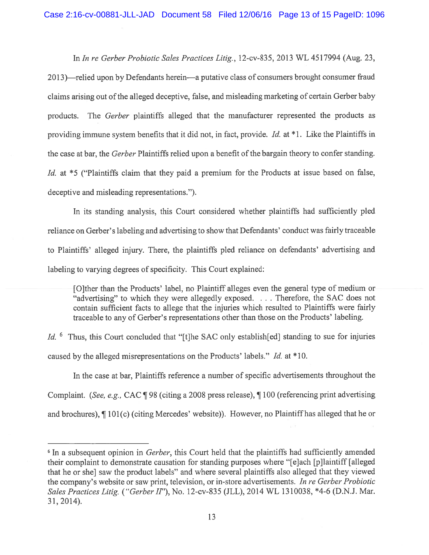In In re Gerber Probiotic Sales Practices Litig., 12-cv-835, 2013 WL 4517994 (Aug. 23, 2013)—relied upon by Defendants herein—a putative class of consumers brought consumer fraud claims arising out ofthe alleged deceptive, false, and misleading marketing of certain Gerber baby products. The Gerber <sup>p</sup>laintiffs alleged that the manufacturer represented the products as providing immune system benefits that it did not, in fact, provide. *Id.* at \*1. Like the Plaintiffs in the case at bar, the Gerber Plaintiffs relied upon <sup>a</sup> benefit of the bargain theory to confer standing. Id. at \*5 ("Plaintiffs claim that they paid a premium for the Products at issue based on false, deceptive and misleading representations.").

In its standing analysis, this Court considered whether plaintiffs had sufficiently pled reliance on Gerber's labeling and advertising to show that Defendants' conduct was fairly traceable to Plaintiffs' alleged injury. There, the <sup>p</sup>laintiffs <sup>p</sup>led reliance on defendants' advertising and labeling to varying degrees of specificity. This Court explained:

[O]ther than the Products' label, no Plaintiff alleges even the general type of medium or "advertising" to which they were allegedly exposed. . . . Therefore, the SAC does not contain sufficient facts to allege that the injuries which resulted to Plaintiffs were fairly traceable to any of Gerber's representations other than those on the Products' labeling.

 $Id.$  <sup>6</sup> Thus, this Court concluded that "[t]he SAC only establish[ed] standing to sue for injuries caused by the alleged misrepresentations on the Products' labels." Id. at \*10.

In the case at bar, Plaintiffs reference <sup>a</sup> number of specific advertisements throughout the Complaint. (See, e.g., CAC ¶ <sup>98</sup> (citing <sup>a</sup> <sup>2008</sup> press release), ¶ <sup>100</sup> (referencing print advertising and brochures), ¶ 101(c) (citing Mercedes' website)). However, no Plaintiffhas alleged that he or

<sup>&</sup>lt;sup>6</sup> In a subsequent opinion in *Gerber*, this Court held that the plaintiffs had sufficiently amended their complaint to demonstrate causation for standing purposes where "[e]ach [p]laintiff [alleged that he or she] saw the product labels" and where several <sup>p</sup>laintiffs also alleged that they viewed the company's website or saw print, television, or in-store advertisements. In re Gerber Probiotic Sales Practices Litig. ("Gerber II"), No. 12-cv-835 (JLL), 2014 WL 1310038, \*4-6 (D.N.J. Mar. 31, 2014).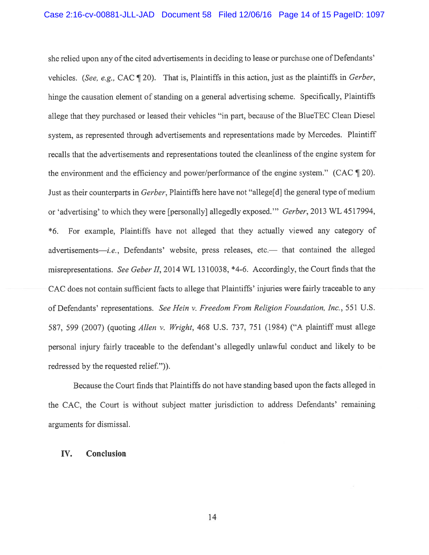she relied upon any of the cited advertisements in deciding to lease or purchase one of Defendants' vehicles. (See, e.g., CAC ¶ 20). That is, Plaintiffs in this action, just as the <sup>p</sup>laintiffs in Gerber, hinge the causation element of standing on <sup>a</sup> genera<sup>l</sup> advertising scheme. Specifically, Plaintiffs allege that they purchased or leased their vehicles "in part, because of the B1ueTEC Clean Diesel system, as represented through advertisements and representations made by Mercedes. Plaintiff recalls that the advertisements and representations touted the cleanliness of the engine system for the environment and the efficiency and power/performance of the engine system." (CAC ¶ 20). Just as their counterparts in Gerber, Plaintiffs here have not "allege[d] the general type of medium or 'advertising' to which they were [personally] allegedly exposed." Gerber, 2013 WE 4517994, \*6. For example, Plaintiffs have not alleged that they actually viewed any category of advertisements—i.e., Defendants' website, press releases, etc.— that contained the alleged misrepresentations. See Geber II, 2014 WL 1310038, \*4-6. Accordingly, the Court finds that the CAC does not contain sufficient facts to allege that Plaintiffs' injuries were fairly traceable to any of Defendants' representations. See Hein v. Freedom From Religion Foundation, Inc., 551 U.S. 587, 599 (2007) (quoting Allen v. Wright, 468 U.S. 737, 751 (1984) ("A plaintiff must allege persona<sup>l</sup> injury fairly traceable to the defendant's allegedly unlawful conduct and likely to be redressed by the requested relief.")).

Because the Court finds that Plaintiffs do not have standing based upon the facts alleged in the CAC, the Court is without subject matter jurisdiction to address Defendants' remaining arguments for dismissal.

### IV. Conclusion